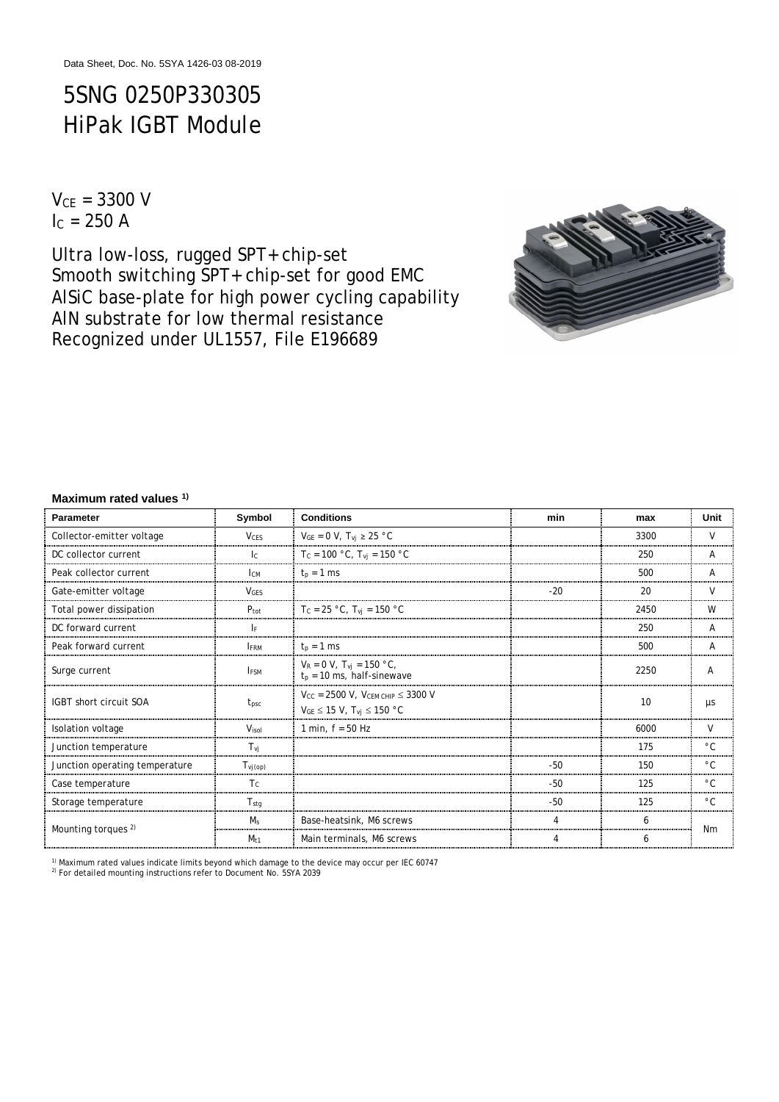# 5SNG 0250P330305 HiPak IGBT Module

 $V_{CF} = 3300 V$  $I_c = 250 A$ 

Ultra low-loss, rugged SPT+ chip-set Smooth switching SPT+ chip-set for good EMC AlSiC base-plate for high power cycling capability AlN substrate for low thermal resistance Recognized under UL1557, File E196689



#### **Maximum rated values 1)**

| <b>Parameter</b>               | Symbol                         | <b>Conditions</b>                                                                           | min   | max  | Unit         |
|--------------------------------|--------------------------------|---------------------------------------------------------------------------------------------|-------|------|--------------|
| Collector-emitter voltage      | <b>VCFS</b>                    | $V_{GE} = 0 V$ , $T_{vj} \ge 25 °C$                                                         |       | 3300 | $\vee$       |
| DC collector current           | $\mathsf{I}^{\mathsf{c}}$      | $T_c = 100 °C$ , $T_{vj} = 150 °C$                                                          |       | 250  | A            |
| Peak collector current         | Iсм                            | $t_n = 1$ ms                                                                                |       | 500  | Α            |
| Gate-emitter voltage           | <b>VGFS</b>                    |                                                                                             | $-20$ | 20   | $\vee$       |
| Total power dissipation        | $P_{\text{tot}}$               | T <sub>C</sub> = 25 °C, T <sub>vi</sub> = 150 °C                                            |       | 2450 | W            |
| DC forward current             | <b>IF</b>                      |                                                                                             |       | 250  | A            |
| Peak forward current           | <b>FRM</b>                     | $t_p = 1$ ms                                                                                |       | 500  | A            |
| Surge current                  | <b>IFSM</b>                    | $V_R = 0 V$ , $T_{vi} = 150 °C$ ,<br>$t_p = 10$ ms, half-sinewave                           |       | 2250 | A            |
| <b>IGBT</b> short circuit SOA  | t <sub>psc</sub>               | $V_{CC}$ = 2500 V, $V_{CEM CHIP}$ $\leq$ 3300 V<br>$V_{GE} \leq 15$ V, $T_{vj} \leq 150$ °C |       | 10   | μs           |
| Isolation voltage              | Visol                          | 1 min, $f = 50$ Hz                                                                          |       | 6000 | V            |
| Junction temperature           | $T_{\rm\scriptscriptstyle VI}$ |                                                                                             |       | 175  | $^{\circ}$ C |
| Junction operating temperature | $T_{Vj(op)}$                   |                                                                                             | $-50$ | 150  | $^{\circ}$ C |
| Case temperature               | Tc                             |                                                                                             | $-50$ | 125  | $^{\circ}$ C |
| Storage temperature            | $T_{\text{stg}}$               |                                                                                             | $-50$ | 125  | $^{\circ}$ C |
| Mounting torques <sup>2)</sup> | $M_s$                          | Base-heatsink, M6 screws                                                                    | 4     | 6    | <b>Nm</b>    |
|                                | $M_{t1}$                       | Main terminals, M6 screws                                                                   | 4     | 6    |              |

<sup>1)</sup> Maximum rated values indicate limits beyond which damage to the device may occur per IEC 60747

<sup>2)</sup> For detailed mounting instructions refer to Document No. 5SYA 2039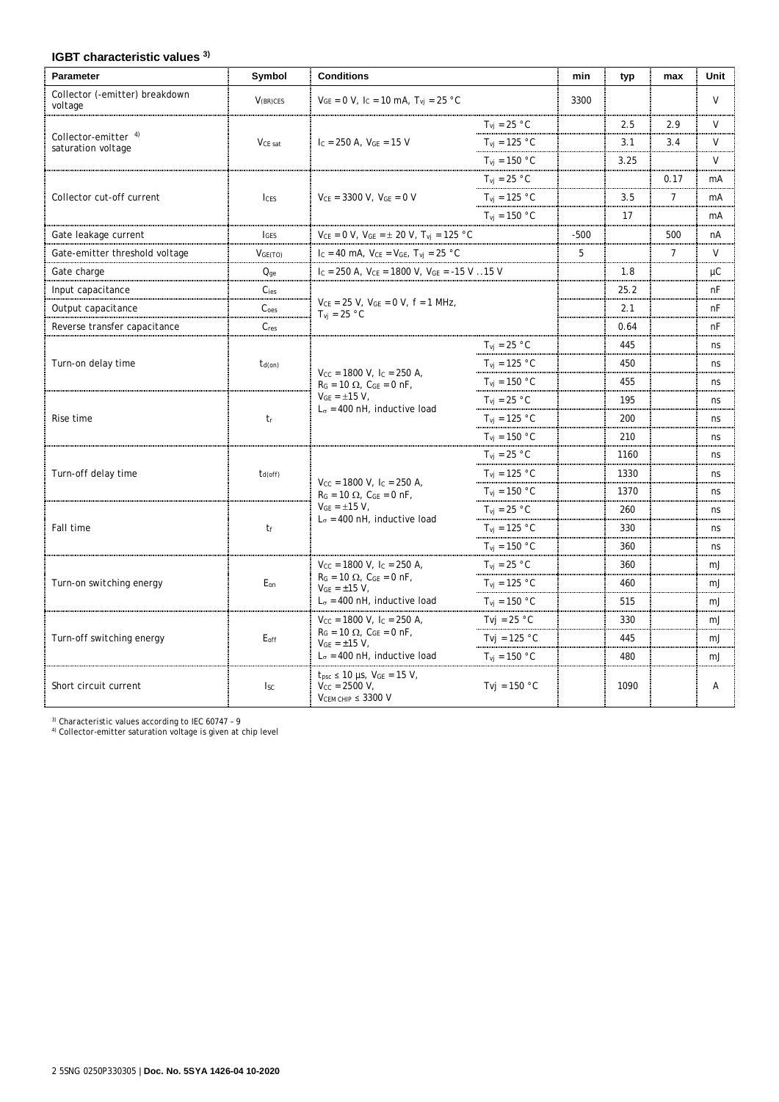# **IGBT characteristic values 3)**

| <b>Parameter</b>                           | Symbol                                                                                      | <b>Conditions</b>                                                                                                                                             |                                  | min    | typ  | max            | Unit   |
|--------------------------------------------|---------------------------------------------------------------------------------------------|---------------------------------------------------------------------------------------------------------------------------------------------------------------|----------------------------------|--------|------|----------------|--------|
| Collector (-emitter) breakdown<br>voltage  | $V_{(BR)CES}$                                                                               | $V_{GE} = 0 V$ , $I_C = 10 mA$ , $T_{vi} = 25 °C$                                                                                                             |                                  | 3300   |      |                | V      |
|                                            |                                                                                             |                                                                                                                                                               | $T_{vi}$ = 25 °C                 |        | 2.5  | 2.9            | $\vee$ |
| Collector-emitter 4)<br>saturation voltage | V <sub>CE</sub> sat                                                                         | $I_c = 250$ A, $V_{GE} = 15$ V                                                                                                                                | $T_{\text{vi}} = 125 \text{ °C}$ |        | 3.1  | 3.4            | V      |
|                                            |                                                                                             |                                                                                                                                                               | $T_{\text{vi}} = 150 \text{ °C}$ |        | 3.25 |                | V      |
|                                            |                                                                                             |                                                                                                                                                               | $T_{\rm vi}$ = 25 °C             |        |      | 0.17           | mA     |
| Collector cut-off current                  | <b>ICES</b>                                                                                 | $V_{CE}$ = 3300 V, $V_{GE}$ = 0 V                                                                                                                             | $T_{vi}$ = 125 °C                |        | 3.5  | $\overline{7}$ | mA     |
|                                            |                                                                                             |                                                                                                                                                               | $T_{vi}$ = 150 °C                |        | 17   |                | mA     |
| Gate leakage current                       | <b>I</b> GES                                                                                | $V_{CE} = 0$ V, $V_{GE} = \pm$ 20 V, $T_{vj} = 125$ $^{\circ} \textrm{C}$                                                                                     |                                  | $-500$ |      | 500            | nA     |
| Gate-emitter threshold voltage             | VGE(TO)                                                                                     | $I_C = 40$ mA, $V_{CE} = V_{GE}$ , $T_{vj} = 25$ °C                                                                                                           |                                  | 5      |      | $\overline{7}$ | V      |
| Gate charge                                | $Q_{ge}$                                                                                    | Ic = 250 A, $V_{CE}$ = 1800 V, $V_{GE}$ = -15 V 15 V                                                                                                          |                                  |        | 1.8  |                | μC     |
| Input capacitance                          | C <sub>ies</sub>                                                                            |                                                                                                                                                               |                                  |        | 25.2 |                | nF     |
| Output capacitance                         | C <sub>oes</sub>                                                                            | $V_{CE}$ = 25 V, $V_{GE}$ = 0 V, f = 1 MHz,<br>$T_{vi}$ = 25 °C                                                                                               |                                  |        | 2.1  |                | nF     |
| Reverse transfer capacitance               | $C_{res}$                                                                                   |                                                                                                                                                               |                                  |        | 0.64 |                | nF     |
|                                            | $t_{d(on)}$                                                                                 | $V_{CC}$ = 1800 V, I <sub>C</sub> = 250 A,<br>$R_G = 10 \Omega$ , $C_{GE} = 0 \text{ nF}$ ,<br>$V_{GE} = \pm 15 V$ ,<br>$L_{\sigma}$ = 400 nH, inductive load | $T_{\text{vj}} = 25 \text{ °C}$  |        | 445  |                | ns     |
| Turn-on delay time                         |                                                                                             |                                                                                                                                                               | $T_{\text{vj}} = 125 \text{ °C}$ |        | 450  |                | ns     |
|                                            |                                                                                             |                                                                                                                                                               | $T_{\text{vi}} = 150 \text{ °C}$ |        | 455  |                | ns     |
| Rise time                                  | $t_{r}$                                                                                     |                                                                                                                                                               | $T_{\text{vj}} = 25 \text{ °C}$  |        | 195  |                | ns     |
|                                            |                                                                                             |                                                                                                                                                               | $T_{\rm{vj}} = 125 °C$           |        | 200  |                | ns     |
|                                            |                                                                                             |                                                                                                                                                               | $T_{vi} = 150 °C$                |        | 210  |                | ns     |
|                                            |                                                                                             |                                                                                                                                                               | $T_{\text{vj}} = 25 \text{ °C}$  |        | 1160 |                | ns     |
| Turn-off delay time                        | $t_{d(off)}$                                                                                |                                                                                                                                                               | $T_{\rm vi}$ = 125 °C            |        | 1330 |                | ns     |
|                                            | $V_{CC}$ = 1800 V, I <sub>C</sub> = 250 A,<br>$R_G = 10 \Omega$ , $C_{GE} = 0 \text{ nF}$ , |                                                                                                                                                               | $T_{vj} = 150 °C$                |        | 1370 |                | ns     |
|                                            |                                                                                             | $V_{GE} = \pm 15 V$ ,<br>$L_{\sigma}$ = 400 nH, inductive load                                                                                                | $T_{vi} = 25 °C$                 |        | 260  |                | ns     |
| Fall time                                  | tf                                                                                          |                                                                                                                                                               | $T_{\rm vj} = 125 °C$            |        | 330  |                | ns     |
|                                            |                                                                                             |                                                                                                                                                               | $T_{\text{vi}} = 150 \text{ °C}$ |        | 360  |                | ns     |
|                                            |                                                                                             | $V_{CC}$ = 1800 V, Ic = 250 A,                                                                                                                                | $T_{\text{vi}} = 25 \text{ °C}$  |        | 360  |                | mJ     |
| Turn-on switching energy                   | E <sub>on</sub>                                                                             | $R_G = 10 \Omega$ , $C_{GE} = 0 \text{ nF}$ ,<br>$V_{GE} = \pm 15 V$ ,<br>$L_{\sigma}$ = 400 nH, inductive load                                               | $T_{vi}$ = 125 °C                |        | 460  |                | mJ     |
|                                            |                                                                                             |                                                                                                                                                               | $T_{vi}$ = 150 °C                |        | 515  |                | mJ     |
|                                            |                                                                                             | $V_{CC}$ = 1800 V, I <sub>C</sub> = 250 A,<br>$R_G = 10 \Omega$ , $C_{GE} = 0 \text{ nF}$ ,<br>$V_{GE} = \pm 15 V$ ,                                          | Tvj = $25 °C$                    |        | 330  |                | mJ     |
| Turn-off switching energy                  | $E_{\text{off}}$                                                                            |                                                                                                                                                               | Tvi = $125 °C$                   |        | 445  |                | mJ     |
|                                            |                                                                                             | $L_{\sigma}$ = 400 nH, inductive load                                                                                                                         | $T_{\text{vi}} = 150 \text{ °C}$ |        | 480  |                | mJ     |
| Short circuit current                      | $I_{SC}$                                                                                    | $t_{\text{psc}}$ ≤ 10 µs, $V_{\text{GE}}$ = 15 V,<br>$V_{CC} = 2500 V$ ,<br>$V_{CEM CHIP} \leq 3300 V$                                                        | Tvj = $150 °C$                   |        | 1090 |                | Α      |

<sup>3)</sup> Characteristic values according to IEC 60747 - 9<br><sup>4)</sup> Collector-emitter saturation voltage is given at chip level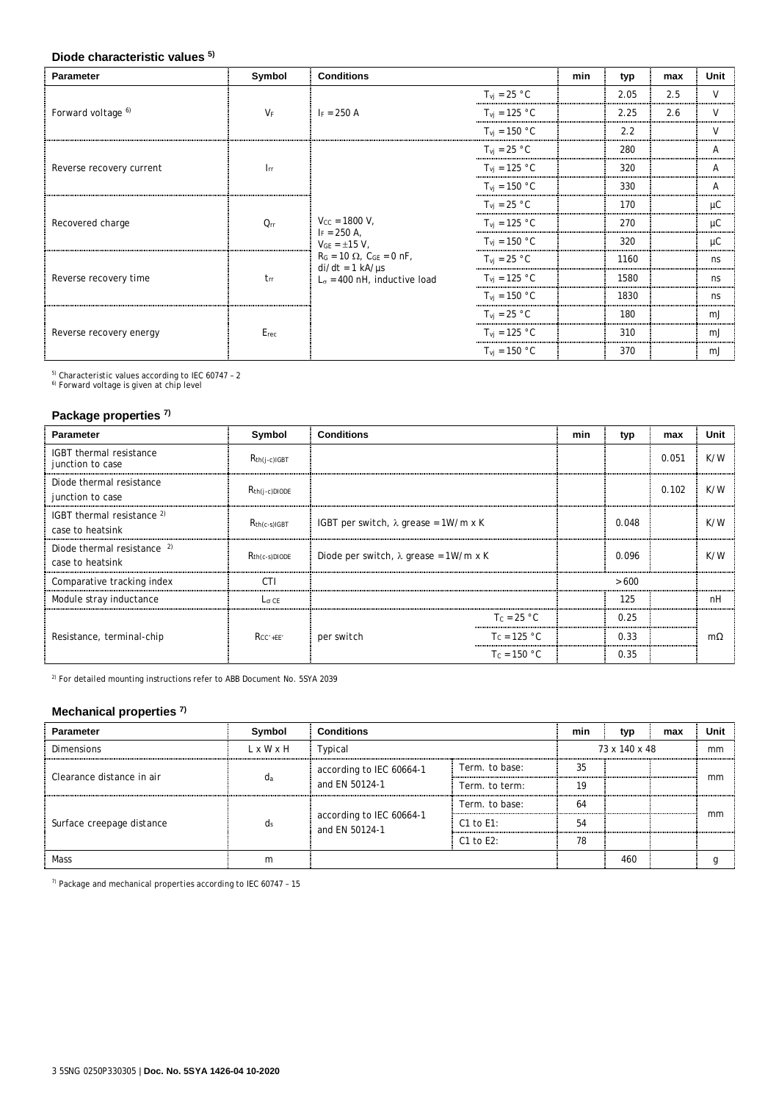#### **Diode characteristic values 5)**

| Parameter                     | Symbol                   | <b>Conditions</b>                                                                                                                                                                                                                                                                                                                                                                                                                                                                                                                                                                                                   |                                  | min | typ  | max    | Unit           |
|-------------------------------|--------------------------|---------------------------------------------------------------------------------------------------------------------------------------------------------------------------------------------------------------------------------------------------------------------------------------------------------------------------------------------------------------------------------------------------------------------------------------------------------------------------------------------------------------------------------------------------------------------------------------------------------------------|----------------------------------|-----|------|--------|----------------|
|                               |                          |                                                                                                                                                                                                                                                                                                                                                                                                                                                                                                                                                                                                                     | $T_{\text{vj}} = 25 \text{ °C}$  |     | 2.05 | 2.5    | $\mathsf{V}$   |
| Forward voltage <sup>6)</sup> | $V_F$                    | $F = 250 A$                                                                                                                                                                                                                                                                                                                                                                                                                                                                                                                                                                                                         | $T_{\rm vj}$ = 125 °C            |     | 2.25 | 2.6    | $\vee$         |
|                               |                          | $T_{\text{vj}} = 150 \text{ °C}$<br>$T_{\text{vj}} = 25 \text{ °C}$<br>$T_{\rm vj}$ = 125 °C<br>$T_{\text{vi}} = 150 \text{ °C}$<br>$T_{\text{vi}} = 25 \text{ °C}$<br>$V_{CC} = 1800 V$ ,<br>$T_{\text{vj}} = 125 \text{ °C}$<br>$I_F = 250 A$ ,<br>$T_{\text{vj}} = 150 \text{ °C}$<br>$V_{GE} = \pm 15 V$ ,<br>$R_G = 10 \Omega$ , $C_{GE} = 0 \text{ nF}$ ,<br>$T_{\text{vi}} = 25 \text{ °C}$<br>$di/dt = 1 kA/ \mu s$<br>$T_{\text{vj}} = 125 \text{ °C}$<br>$L_{\sigma}$ = 400 nH, inductive load<br>$T_{\text{vj}} = 150 \text{ °C}$<br>$T_{\text{vi}} = 25 \text{ °C}$<br>$T_{\text{vj}} = 125 \text{ °C}$ |                                  | 2.2 |      | $\vee$ |                |
|                               |                          |                                                                                                                                                                                                                                                                                                                                                                                                                                                                                                                                                                                                                     |                                  |     | 280  |        | $\mathsf{A}$   |
| Reverse recovery current      | $\mathsf{l}_{\text{rr}}$ |                                                                                                                                                                                                                                                                                                                                                                                                                                                                                                                                                                                                                     |                                  |     | 320  |        | $\overline{A}$ |
|                               |                          |                                                                                                                                                                                                                                                                                                                                                                                                                                                                                                                                                                                                                     |                                  |     | 330  |        | $\overline{A}$ |
|                               | $Q_{rr}$                 |                                                                                                                                                                                                                                                                                                                                                                                                                                                                                                                                                                                                                     |                                  |     | 170  |        | μC             |
| Recovered charge              |                          |                                                                                                                                                                                                                                                                                                                                                                                                                                                                                                                                                                                                                     |                                  |     | 270  |        | μC             |
|                               |                          |                                                                                                                                                                                                                                                                                                                                                                                                                                                                                                                                                                                                                     |                                  |     | 320  |        | $\mu$ C        |
|                               |                          |                                                                                                                                                                                                                                                                                                                                                                                                                                                                                                                                                                                                                     |                                  |     | 1160 |        | ns             |
| Reverse recovery time         | t <sub>rr</sub>          |                                                                                                                                                                                                                                                                                                                                                                                                                                                                                                                                                                                                                     |                                  |     | 1580 |        | ns             |
|                               |                          |                                                                                                                                                                                                                                                                                                                                                                                                                                                                                                                                                                                                                     |                                  |     | 1830 |        | ns             |
|                               |                          |                                                                                                                                                                                                                                                                                                                                                                                                                                                                                                                                                                                                                     |                                  |     | 180  |        | mJ             |
| Reverse recovery energy       | Erec                     |                                                                                                                                                                                                                                                                                                                                                                                                                                                                                                                                                                                                                     |                                  |     | 310  |        | mJ             |
|                               |                          |                                                                                                                                                                                                                                                                                                                                                                                                                                                                                                                                                                                                                     | $T_{\text{vi}} = 150 \text{ °C}$ |     | 370  |        | mJ             |

<sup>5)</sup> Characteristic values according to IEC 60747 - 2<br><sup>6)</sup> Forward voltage is given at chip level

# **Package properties 7)**

| <b>Parameter</b>                                | Symbol             | <b>Conditions</b>                             |                | min | typ   | max   | Unit |
|-------------------------------------------------|--------------------|-----------------------------------------------|----------------|-----|-------|-------|------|
| IGBT thermal resistance<br>junction to case     | $R_{th(i-c)IGBT}$  |                                               |                |     |       | 0.051 | K/W  |
| Diode thermal resistance<br>junction to case    | $R_{th(i-c)DIODE}$ |                                               |                |     |       | 0.102 | K/W  |
| IGBT thermal resistance $2$<br>case to heatsink | $R_{th(c-s)IGBT}$  | IGBT per switch, $\lambda$ grease = 1W/m x K  |                |     | 0.048 |       | K/W  |
| Diode thermal resistance 2)<br>case to heatsink | $R_{th(c-s)DIODE}$ | Diode per switch, $\lambda$ grease = 1W/m x K |                |     | 0.096 |       | K/W  |
| Comparative tracking index                      | <b>CTI</b>         |                                               |                |     | >600  |       |      |
| Module stray inductance                         | $L_{\sigma}$ CE    |                                               |                |     | 125   |       | nH   |
|                                                 | $R_{CC'+EE'}$      |                                               | $T_c = 25 °C$  |     | 0.25  |       |      |
| Resistance, terminal-chip                       |                    | per switch                                    | $T_c = 125 °C$ |     | 0.33  |       | mΩ   |
|                                                 |                    |                                               | $T_c = 150 °C$ |     | 0.35  |       |      |

2) For detailed mounting instructions refer to ABB Document No. 5SYA 2039

# **Mechanical properties 7)**

| <b>Parameter</b>          | Symbol                | <b>Conditions</b>                          |                                    | min           | typ | max | Unit |
|---------------------------|-----------------------|--------------------------------------------|------------------------------------|---------------|-----|-----|------|
| <b>Dimensions</b>         | $L \times W \times H$ | Typical                                    |                                    | 73 x 140 x 48 |     |     | mm   |
| Clearance distance in air | da                    | according to IEC 60664-1<br>and EN 50124-1 | Term, to base:                     | 35            |     |     |      |
|                           |                       |                                            | Term. to term:                     | 19            |     |     | mm   |
| Surface creepage distance | $d_s$                 | according to IEC 60664-1<br>and EN 50124-1 | Term, to base:                     | 64            |     |     |      |
|                           |                       |                                            | C1 to $E1$ :                       | 54            |     |     | mm   |
|                           |                       |                                            | C <sub>1</sub> to E <sub>2</sub> : | 78            |     |     |      |
| Mass                      | m                     |                                            |                                    |               | 460 |     |      |

7) Package and mechanical properties according to IEC 60747 – 15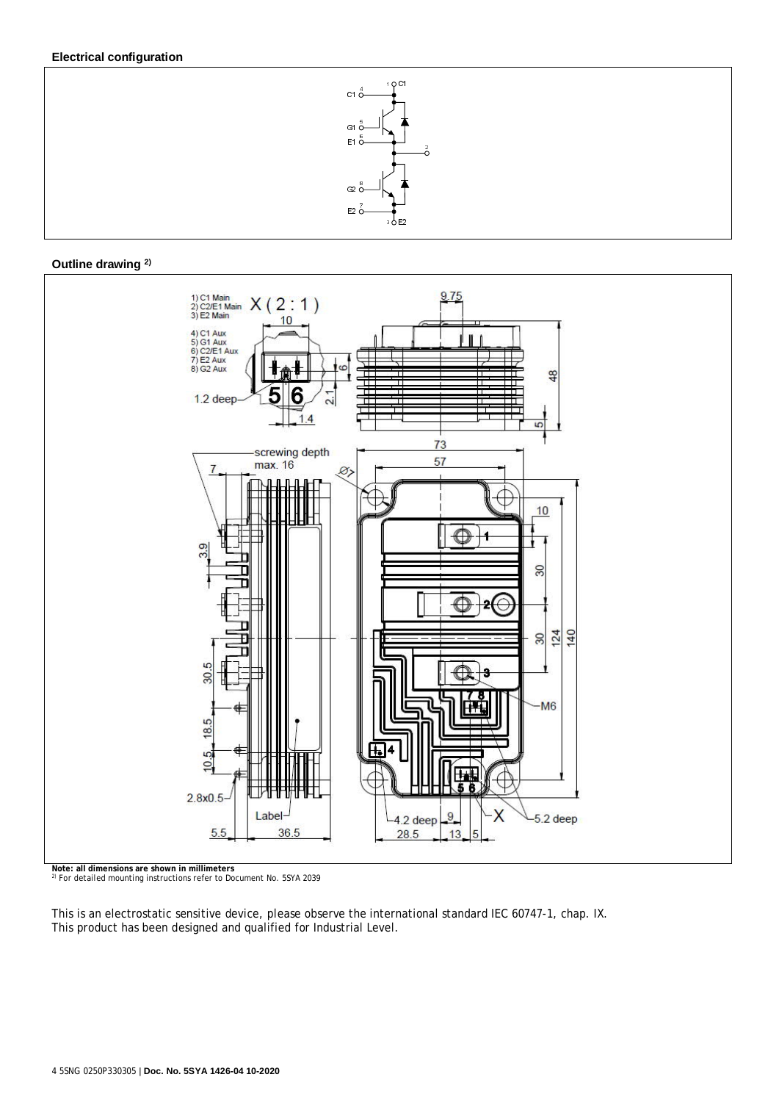### **Electrical configuration**



#### **Outline drawing 2)**



**Note: all dimensions are shown in millimeters** 2) For detailed mounting instructions refer to Document No. 5SYA 2039

This is an electrostatic sensitive device, please observe the international standard IEC 60747-1, chap. IX. This product has been designed and qualified for Industrial Level.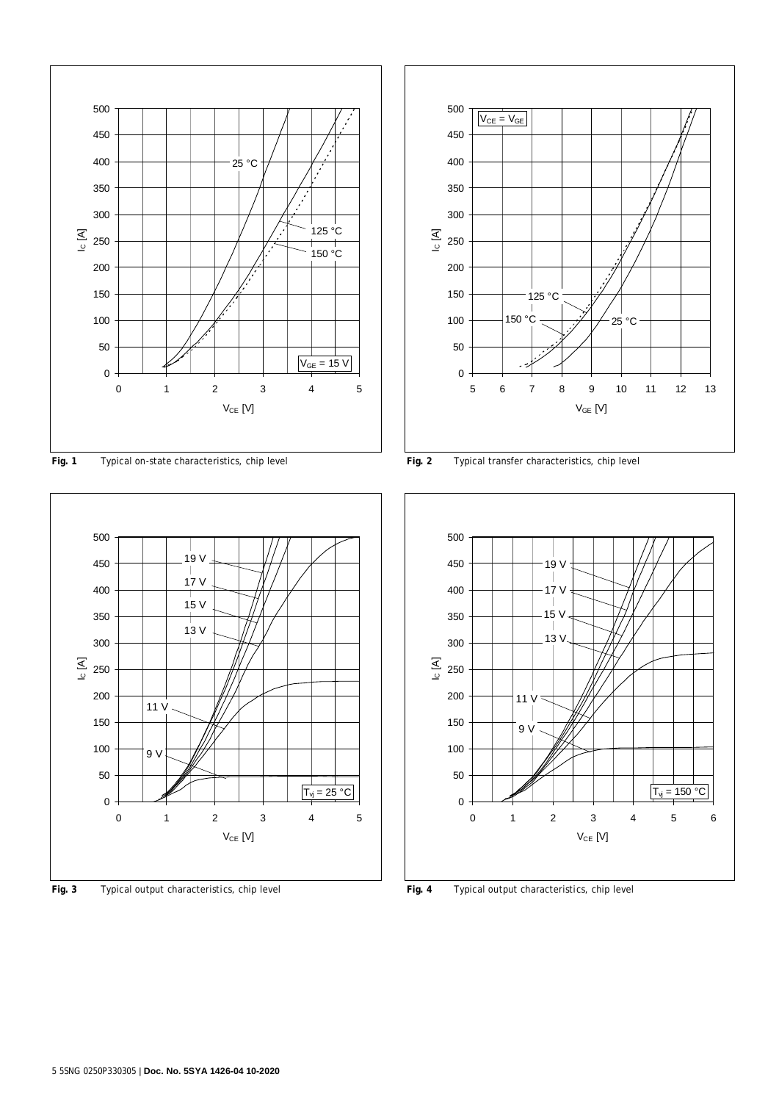

Fig. 1 Typical on-state characteristics, chip level **Fig. 2** Typical transfer characteristics, chip level



**Fig. 3** Typical output characteristics, chip level **Fig. 4** Typical output characteristics, chip level



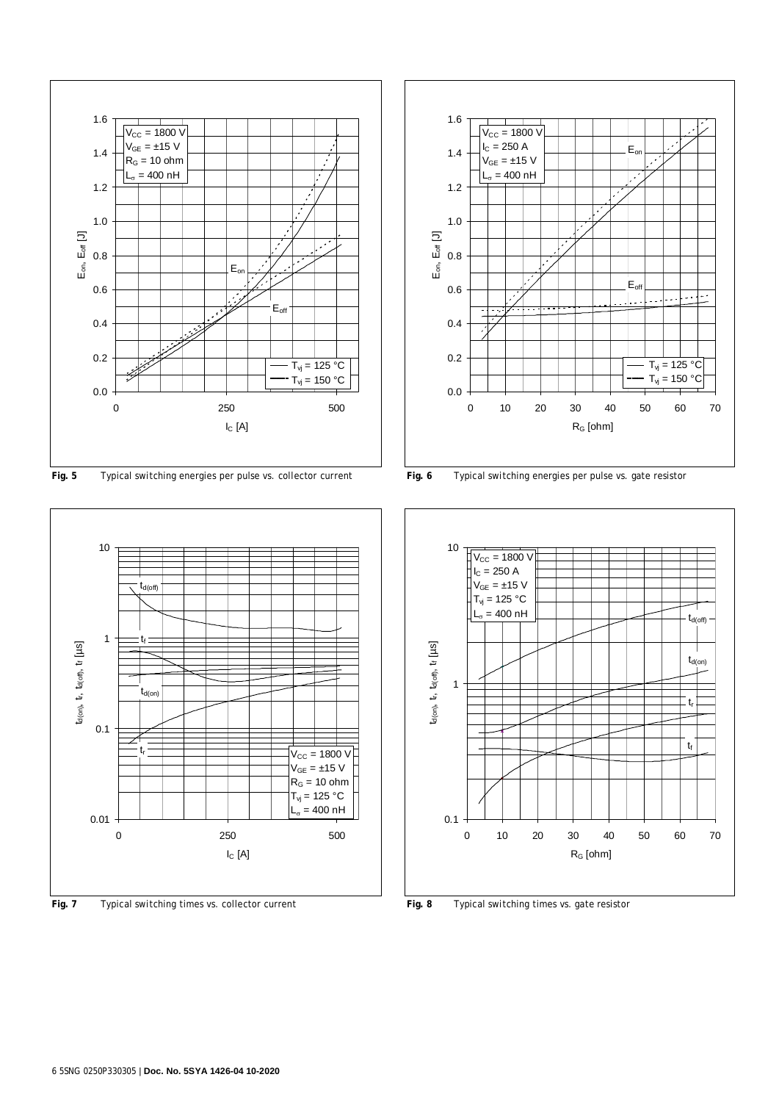

**Fig. 5** Typical switching energies per pulse vs. collector current **Fig. 6** Typical switching energies per pulse vs. gate resistor



**Fig. 7** Typical switching times vs. collector current **Fig. 8** Typical switching times vs. gate resistor



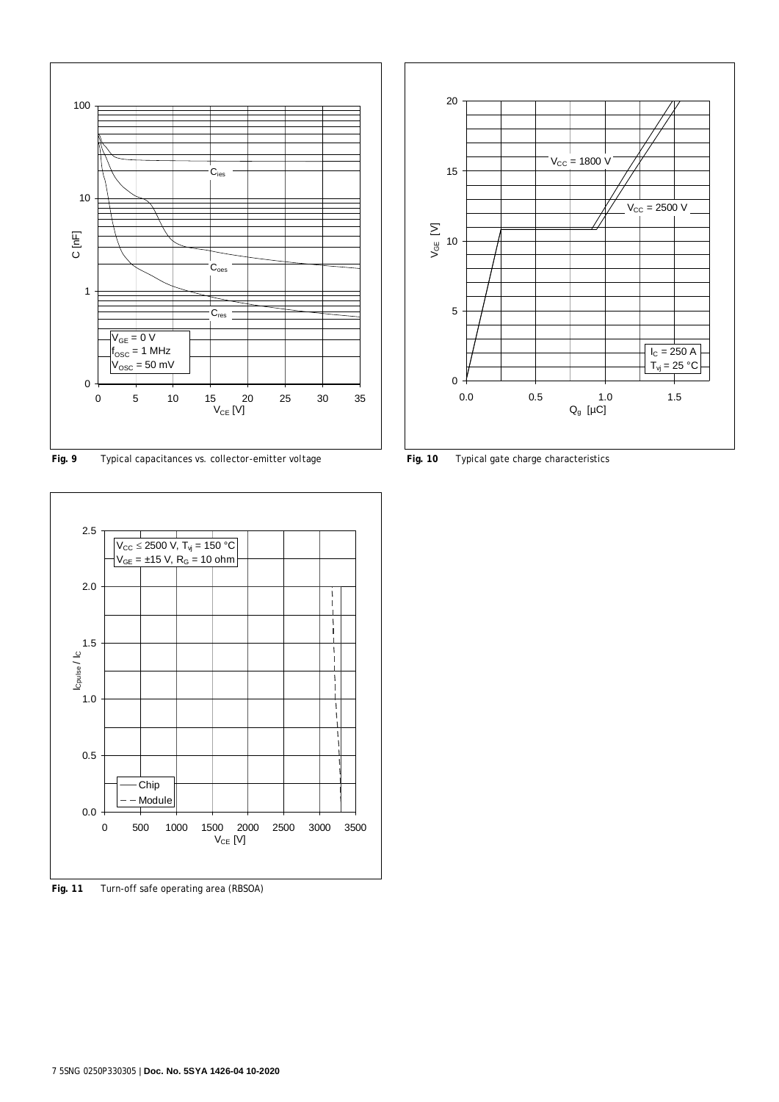

**Fig. 9** Typical capacitances vs. collector-emitter voltage **Fig. 10** Typical gate charge characteristics



**Fig. 11** Turn-off safe operating area (RBSOA)

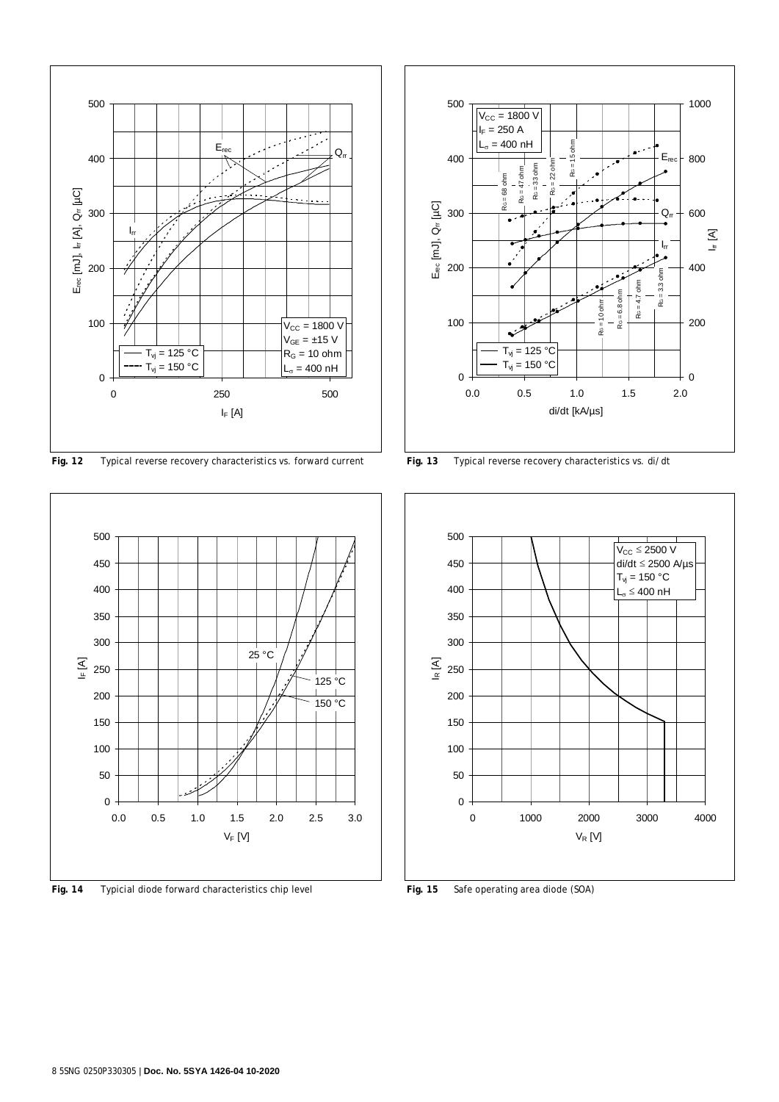

**Fig. 12** Typical reverse recovery characteristics vs. forward current **Fig. 13** Typical reverse recovery characteristics vs. di/dt



**Fig. 14** Typicial diode forward characteristics chip level **Fig. 15** Safe operating area diode (SOA)